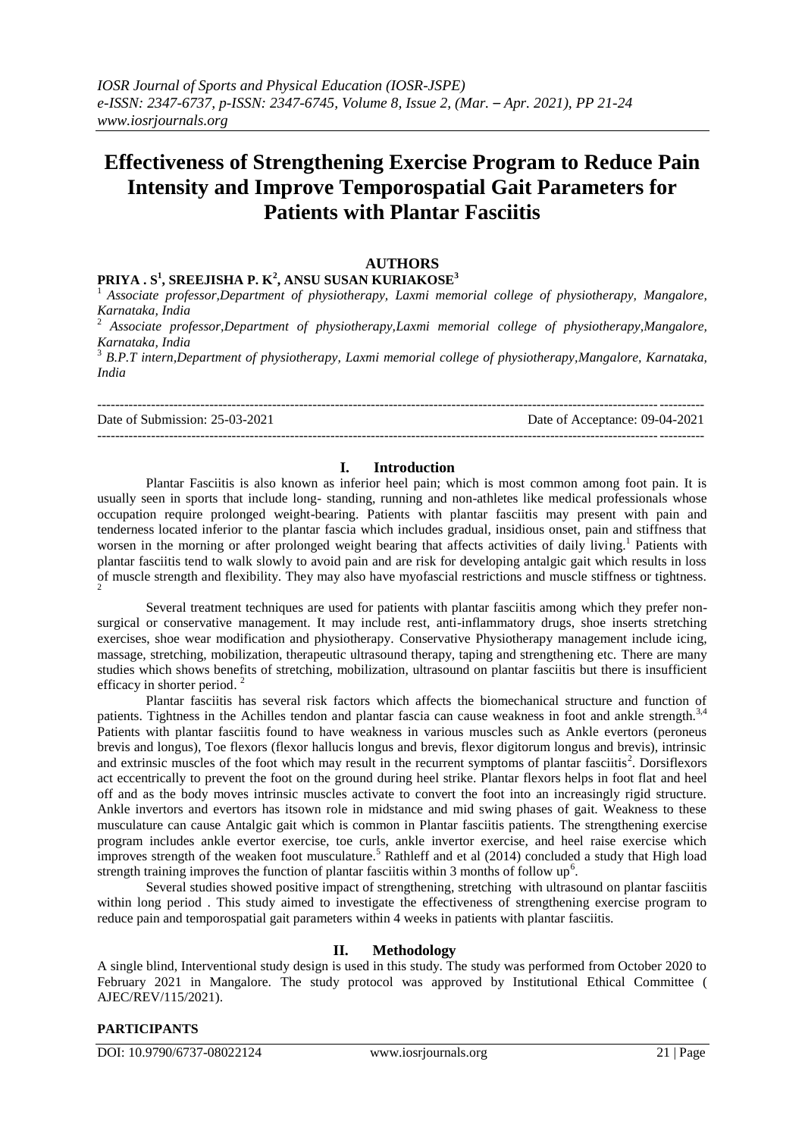# **Effectiveness of Strengthening Exercise Program to Reduce Pain Intensity and Improve Temporospatial Gait Parameters for Patients with Plantar Fasciitis**

## **AUTHORS**

## **PRIYA . S<sup>1</sup> , SREEJISHA P. K<sup>2</sup> , ANSU SUSAN KURIAKOSE<sup>3</sup>**

<sup>1</sup>*Associate professor,Department of physiotherapy, Laxmi memorial college of physiotherapy, Mangalore, Karnataka, India*

<sup>2</sup> *Associate professor,Department of physiotherapy,Laxmi memorial college of physiotherapy,Mangalore, Karnataka, India*

<sup>3</sup> *B.P.T intern,Department of physiotherapy, Laxmi memorial college of physiotherapy,Mangalore, Karnataka, India*

--------------------------------------------------------------------------------------------------------------------------------------- Date of Submission: 25-03-2021 Date of Acceptance: 09-04-2021 ---------------------------------------------------------------------------------------------------------------------------------------

## **I. Introduction**

Plantar Fasciitis is also known as inferior heel pain; which is most common among foot pain. It is usually seen in sports that include long- standing, running and non-athletes like medical professionals whose occupation require prolonged weight-bearing. Patients with plantar fasciitis may present with pain and tenderness located inferior to the plantar fascia which includes gradual, insidious onset, pain and stiffness that worsen in the morning or after prolonged weight bearing that affects activities of daily living.<sup>1</sup> Patients with plantar fasciitis tend to walk slowly to avoid pain and are risk for developing antalgic gait which results in loss of muscle strength and flexibility. They may also have myofascial restrictions and muscle stiffness or tightness. 2

Several treatment techniques are used for patients with plantar fasciitis among which they prefer nonsurgical or conservative management. It may include rest, anti-inflammatory drugs, shoe inserts stretching exercises, shoe wear modification and physiotherapy. Conservative Physiotherapy management include icing, massage, stretching, mobilization, therapeutic ultrasound therapy, taping and strengthening etc. There are many studies which shows benefits of stretching, mobilization, ultrasound on plantar fasciitis but there is insufficient efficacy in shorter period.<sup>2</sup>

Plantar fasciitis has several risk factors which affects the biomechanical structure and function of patients. Tightness in the Achilles tendon and plantar fascia can cause weakness in foot and ankle strength.<sup>3,4</sup> Patients with plantar fasciitis found to have weakness in various muscles such as Ankle evertors (peroneus brevis and longus), Toe flexors (flexor hallucis longus and brevis, flexor digitorum longus and brevis), intrinsic and extrinsic muscles of the foot which may result in the recurrent symptoms of plantar fasciitis<sup>2</sup>. Dorsiflexors act eccentrically to prevent the foot on the ground during heel strike. Plantar flexors helps in foot flat and heel off and as the body moves intrinsic muscles activate to convert the foot into an increasingly rigid structure. Ankle invertors and evertors has itsown role in midstance and mid swing phases of gait. Weakness to these musculature can cause Antalgic gait which is common in Plantar fasciitis patients. The strengthening exercise program includes ankle evertor exercise, toe curls, ankle invertor exercise, and heel raise exercise which improves strength of the weaken foot musculature.<sup>5</sup> Rathleff and et al  $(2014)$  concluded a study that High load strength training improves the function of plantar fasciitis within 3 months of follow  $up<sup>6</sup>$ .

Several studies showed positive impact of strengthening, stretching with ultrasound on plantar fasciitis within long period . This study aimed to investigate the effectiveness of strengthening exercise program to reduce pain and temporospatial gait parameters within 4 weeks in patients with plantar fasciitis.

## **II. Methodology**

A single blind, Interventional study design is used in this study. The study was performed from October 2020 to February 2021 in Mangalore. The study protocol was approved by Institutional Ethical Committee ( AJEC/REV/115/2021).

## **PARTICIPANTS**

DOI: 10.9790/6737-08022124 www.iosrjournals.org 21 | Page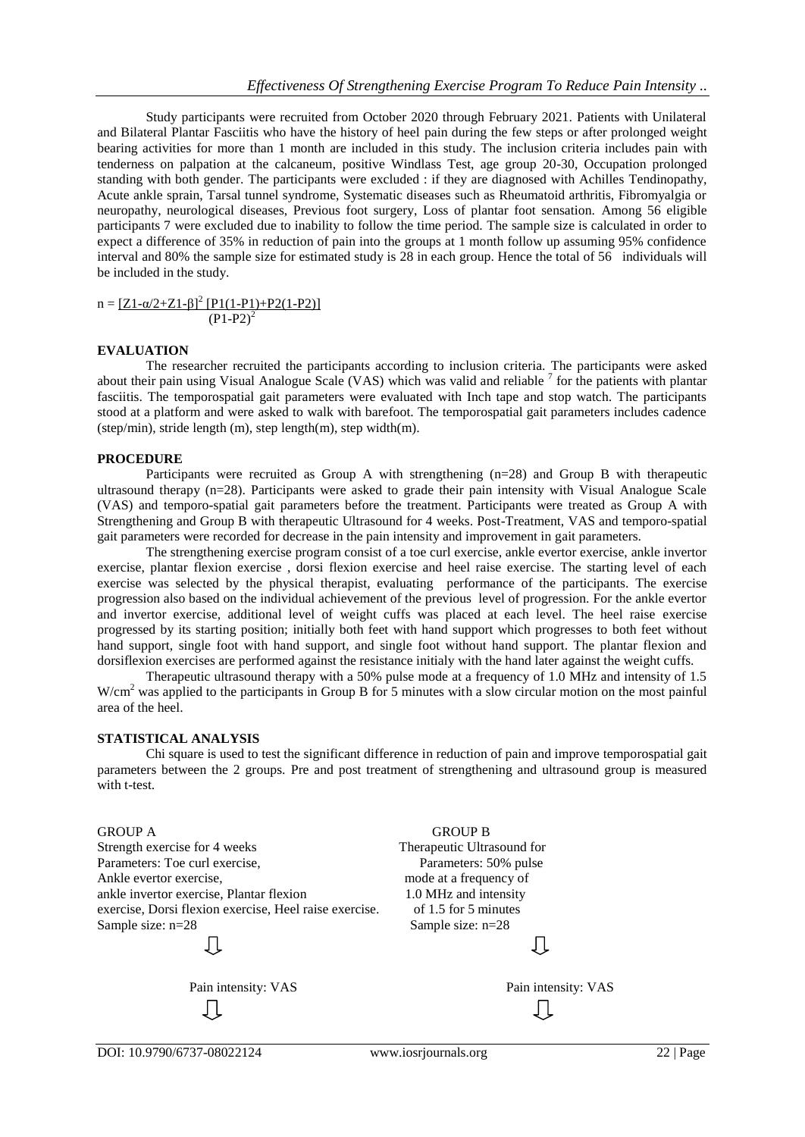Study participants were recruited from October 2020 through February 2021. Patients with Unilateral and Bilateral Plantar Fasciitis who have the history of heel pain during the few steps or after prolonged weight bearing activities for more than 1 month are included in this study. The inclusion criteria includes pain with tenderness on palpation at the calcaneum, positive Windlass Test, age group 20-30, Occupation prolonged standing with both gender. The participants were excluded : if they are diagnosed with Achilles Tendinopathy, Acute ankle sprain, Tarsal tunnel syndrome, Systematic diseases such as Rheumatoid arthritis, Fibromyalgia or neuropathy, neurological diseases, Previous foot surgery, Loss of plantar foot sensation. Among 56 eligible participants 7 were excluded due to inability to follow the time period. The sample size is calculated in order to expect a difference of 35% in reduction of pain into the groups at 1 month follow up assuming 95% confidence interval and 80% the sample size for estimated study is 28 in each group. Hence the total of 56 individuals will be included in the study.

 $n = \frac{[Z_1 - \alpha/2 + Z_1 - \beta]^2 [P_1(1-P_1) + P_2(1-P_2)]}{[P_1(1-P_1) + P_2(1-P_2)]}$  $(P1-P2)^2$ 

#### **EVALUATION**

The researcher recruited the participants according to inclusion criteria. The participants were asked about their pain using Visual Analogue Scale (VAS) which was valid and reliable  $\frac{1}{2}$  for the patients with plantar fasciitis. The temporospatial gait parameters were evaluated with Inch tape and stop watch. The participants stood at a platform and were asked to walk with barefoot. The temporospatial gait parameters includes cadence (step/min), stride length  $(m)$ , step length $(m)$ , step width $(m)$ .

#### **PROCEDURE**

Participants were recruited as Group A with strengthening (n=28) and Group B with therapeutic ultrasound therapy (n=28). Participants were asked to grade their pain intensity with Visual Analogue Scale (VAS) and temporo-spatial gait parameters before the treatment. Participants were treated as Group A with Strengthening and Group B with therapeutic Ultrasound for 4 weeks. Post-Treatment, VAS and temporo-spatial gait parameters were recorded for decrease in the pain intensity and improvement in gait parameters.

The strengthening exercise program consist of a toe curl exercise, ankle evertor exercise, ankle invertor exercise, plantar flexion exercise , dorsi flexion exercise and heel raise exercise. The starting level of each exercise was selected by the physical therapist, evaluating performance of the participants. The exercise progression also based on the individual achievement of the previous level of progression. For the ankle evertor and invertor exercise, additional level of weight cuffs was placed at each level. The heel raise exercise progressed by its starting position; initially both feet with hand support which progresses to both feet without hand support, single foot with hand support, and single foot without hand support. The plantar flexion and dorsiflexion exercises are performed against the resistance initialy with the hand later against the weight cuffs.

Therapeutic ultrasound therapy with a 50% pulse mode at a frequency of 1.0 MHz and intensity of 1.5 W/cm<sup>2</sup> was applied to the participants in Group B for 5 minutes with a slow circular motion on the most painful area of the heel.

#### **STATISTICAL ANALYSIS**

Chi square is used to test the significant difference in reduction of pain and improve temporospatial gait parameters between the 2 groups. Pre and post treatment of strengthening and ultrasound group is measured with t-test.

Strength exercise for 4 weeks Therapeutic Ultrasound for Parameters: Toe curl exercise, Parameters: 50% pulse Ankle evertor exercise, mode at a frequency of ankle invertor exercise, Plantar flexion 1.0 MHz and intensity exercise, Dorsi flexion exercise, Heel raise exercise. of 1.5 for 5 minutes Sample size:  $n=28$  Sample size:  $n=28$ 

JĻ

Įļ

GROUP A GROUP B Jl

> Pain intensity: VAS Pain intensity: VAS ₹Ť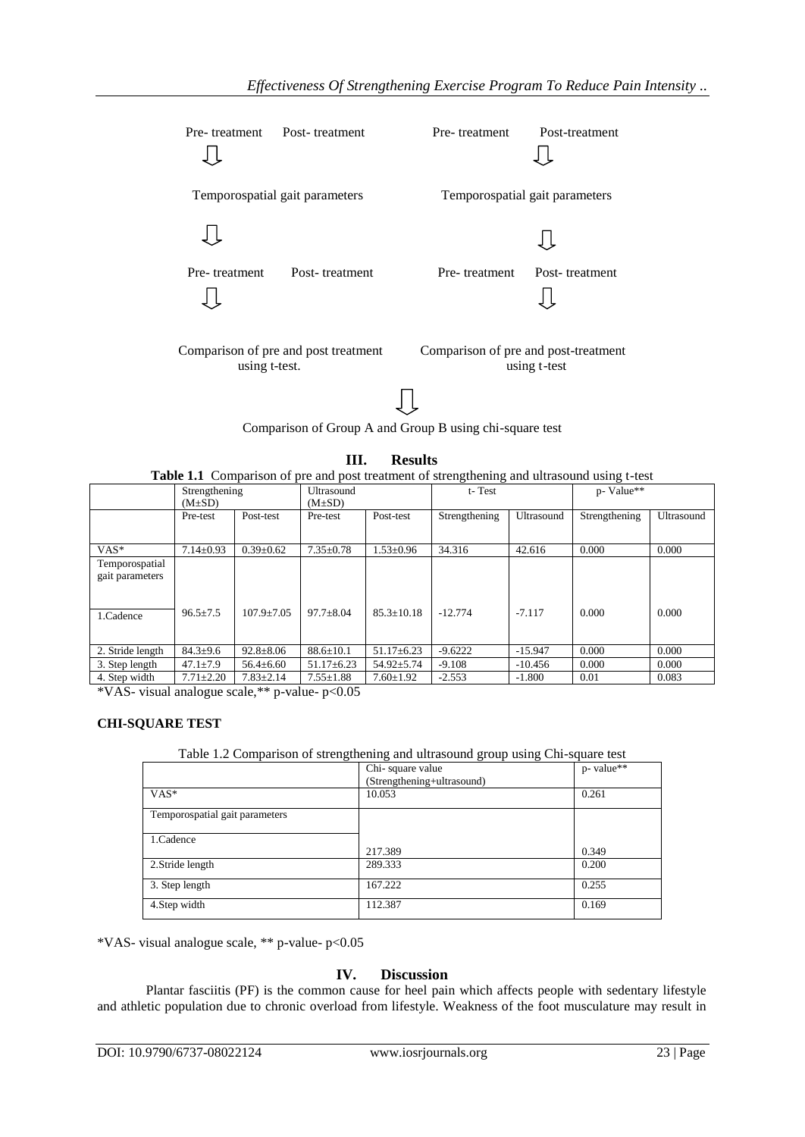| Pre-treatment                                         | Post-treatment                 | Pre-treatment                                        | Post-treatment                 |  |
|-------------------------------------------------------|--------------------------------|------------------------------------------------------|--------------------------------|--|
|                                                       | Temporospatial gait parameters |                                                      | Temporospatial gait parameters |  |
|                                                       |                                |                                                      |                                |  |
| Pre-treatment                                         | Post-treatment                 | Pre-treatment                                        | Post-treatment                 |  |
| Comparison of pre and post treatment<br>using t-test. |                                | Comparison of pre and post-treatment<br>using t-test |                                |  |

Comparison of Group A and Group B using chi-square test

## **III. Results**

Table 1.1 Comparison of pre and post treatment of strengthening and ultrasound using t-test

|                                                | Strengthening<br>$(M\pm SD)$ |                  | Ultrasound<br>$(M\pm SD)$ |                  | t-Test        |            | p- Value**    |            |
|------------------------------------------------|------------------------------|------------------|---------------------------|------------------|---------------|------------|---------------|------------|
|                                                | Pre-test                     | Post-test        | Pre-test                  | Post-test        | Strengthening | Ultrasound | Strengthening | Ultrasound |
| $VAS*$                                         | $7.14 \pm 0.93$              | $0.39 \pm 0.62$  | $7.35 \pm 0.78$           | $1.53 \pm 0.96$  | 34.316        | 42.616     | 0.000         | 0.000      |
| Temporospatial<br>gait parameters<br>1.Cadence | $96.5 \pm 7.5$               | $107.9 \pm 7.05$ | $97.7 \pm 8.04$           | $85.3 \pm 10.18$ | $-12.774$     | $-7.117$   | 0.000         | 0.000      |
| 2. Stride length                               | $84.3 \pm 9.6$               | $92.8 \pm 8.06$  | $88.6 \pm 10.1$           | $51.17 \pm 6.23$ | $-9.6222$     | $-15.947$  | 0.000         | 0.000      |
| 3. Step length                                 | $47.1 \pm 7.9$               | $56.4 \pm 6.60$  | $51.17 \pm 6.23$          | $54.92 \pm 5.74$ | $-9.108$      | $-10.456$  | 0.000         | 0.000      |
| 4. Step width                                  | $7.71 \pm 2.20$              | $7.83 \pm 2.14$  | $7.55 \pm 1.88$           | $7.60 \pm 1.92$  | $-2.553$      | $-1.800$   | 0.01          | 0.083      |

\*VAS- visual analogue scale,\*\* p-value- p<0.05

## **CHI-SQUARE TEST**

#### Table 1.2 Comparison of strengthening and ultrasound group using Chi-square test

|                                | Chi-square value           | p- value** |
|--------------------------------|----------------------------|------------|
|                                | (Strengthening+ultrasound) |            |
| $VAS*$                         | 10.053                     | 0.261      |
| Temporospatial gait parameters |                            |            |
| 1.Cadence                      |                            |            |
|                                | 217.389                    | 0.349      |
| 2. Stride length               | 289.333                    | 0.200      |
| 3. Step length                 | 167.222                    | 0.255      |
| 4. Step width                  | 112.387                    | 0.169      |

\*VAS- visual analogue scale, \*\* p-value- p<0.05

## **IV. Discussion**

Plantar fasciitis (PF) is the common cause for heel pain which affects people with sedentary lifestyle and athletic population due to chronic overload from lifestyle. Weakness of the foot musculature may result in